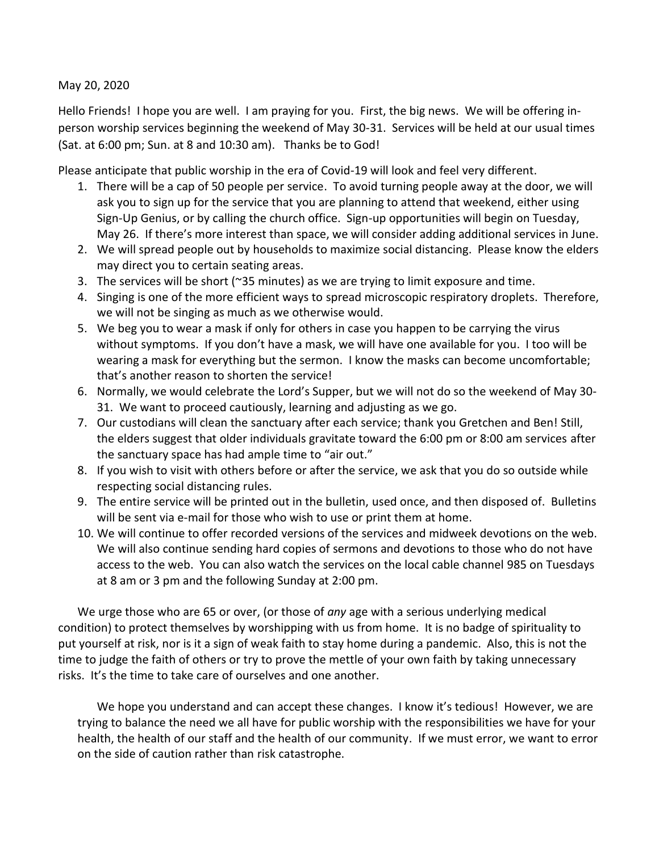May 20, 2020

Hello Friends! I hope you are well. I am praying for you. First, the big news. We will be offering inperson worship services beginning the weekend of May 30-31. Services will be held at our usual times (Sat. at 6:00 pm; Sun. at 8 and 10:30 am). Thanks be to God!

Please anticipate that public worship in the era of Covid-19 will look and feel very different.

- 1. There will be a cap of 50 people per service. To avoid turning people away at the door, we will ask you to sign up for the service that you are planning to attend that weekend, either using Sign-Up Genius, or by calling the church office. Sign-up opportunities will begin on Tuesday, May 26. If there's more interest than space, we will consider adding additional services in June.
- 2. We will spread people out by households to maximize social distancing. Please know the elders may direct you to certain seating areas.
- 3. The services will be short (~35 minutes) as we are trying to limit exposure and time.
- 4. Singing is one of the more efficient ways to spread microscopic respiratory droplets. Therefore, we will not be singing as much as we otherwise would.
- 5. We beg you to wear a mask if only for others in case you happen to be carrying the virus without symptoms. If you don't have a mask, we will have one available for you. I too will be wearing a mask for everything but the sermon. I know the masks can become uncomfortable; that's another reason to shorten the service!
- 6. Normally, we would celebrate the Lord's Supper, but we will not do so the weekend of May 30- 31. We want to proceed cautiously, learning and adjusting as we go.
- 7. Our custodians will clean the sanctuary after each service; thank you Gretchen and Ben! Still, the elders suggest that older individuals gravitate toward the 6:00 pm or 8:00 am services after the sanctuary space has had ample time to "air out."
- 8. If you wish to visit with others before or after the service, we ask that you do so outside while respecting social distancing rules.
- 9. The entire service will be printed out in the bulletin, used once, and then disposed of. Bulletins will be sent via e-mail for those who wish to use or print them at home.
- 10. We will continue to offer recorded versions of the services and midweek devotions on the web. We will also continue sending hard copies of sermons and devotions to those who do not have access to the web. You can also watch the services on the local cable channel 985 on Tuesdays at 8 am or 3 pm and the following Sunday at 2:00 pm.

We urge those who are 65 or over, (or those of *any* age with a serious underlying medical condition) to protect themselves by worshipping with us from home. It is no badge of spirituality to put yourself at risk, nor is it a sign of weak faith to stay home during a pandemic. Also, this is not the time to judge the faith of others or try to prove the mettle of your own faith by taking unnecessary risks. It's the time to take care of ourselves and one another.

We hope you understand and can accept these changes. I know it's tedious! However, we are trying to balance the need we all have for public worship with the responsibilities we have for your health, the health of our staff and the health of our community. If we must error, we want to error on the side of caution rather than risk catastrophe.